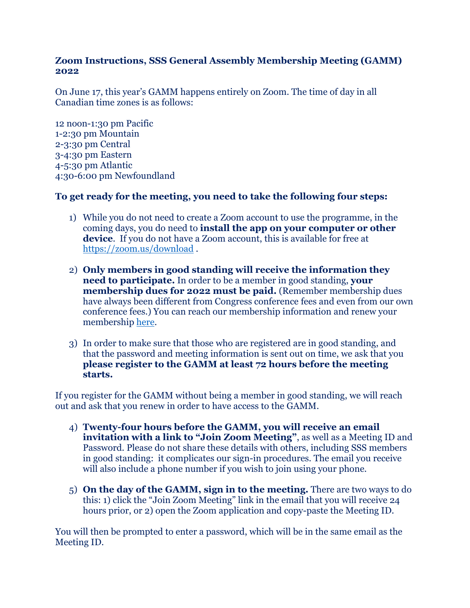## **Zoom Instructions, SSS General Assembly Membership Meeting (GAMM) 2022**

On June 17, this year's GAMM happens entirely on Zoom. The time of day in all Canadian time zones is as follows:

12 noon-1:30 pm Pacific 1-2:30 pm Mountain 2-3:30 pm Central 3-4:30 pm Eastern 4-5:30 pm Atlantic 4:30-6:00 pm Newfoundland

## **To get ready for the meeting, you need to take the following four steps:**

- 1) While you do not need to create a Zoom account to use the programme, in the coming days, you do need to **install the app on your computer or other**  device. If you do not have a Zoom account, this is available for free at <https://zoom.us/download> .
- 2) **Only members in good standing will receive the information they need to participate.** In order to be a member in good standing, **your membership dues for 2022 must be paid.** (Remember membership dues have always been different from Congress conference fees and even from our own conference fees.) You can reach our membership information and renew your membership [here.](https://forum.ideas-idees.ca/?lid=TNJ5B-ATKFF-WRAGS&pkClient=33)
- 3) In order to make sure that those who are registered are in good standing, and that the password and meeting information is sent out on time, we ask that you **please register to the GAMM at least 72 hours before the meeting starts.**

If you register for the GAMM without being a member in good standing, we will reach out and ask that you renew in order to have access to the GAMM.

- 4) **Twenty-four hours before the GAMM, you will receive an email invitation with a link to "Join Zoom Meeting"**, as well as a Meeting ID and Password. Please do not share these details with others, including SSS members in good standing: it complicates our sign-in procedures. The email you receive will also include a phone number if you wish to join using your phone.
- 5) **On the day of the GAMM, sign in to the meeting.** There are two ways to do this: 1) click the "Join Zoom Meeting" link in the email that you will receive 24 hours prior, or 2) open the Zoom application and copy-paste the Meeting ID.

You will then be prompted to enter a password, which will be in the same email as the Meeting ID.